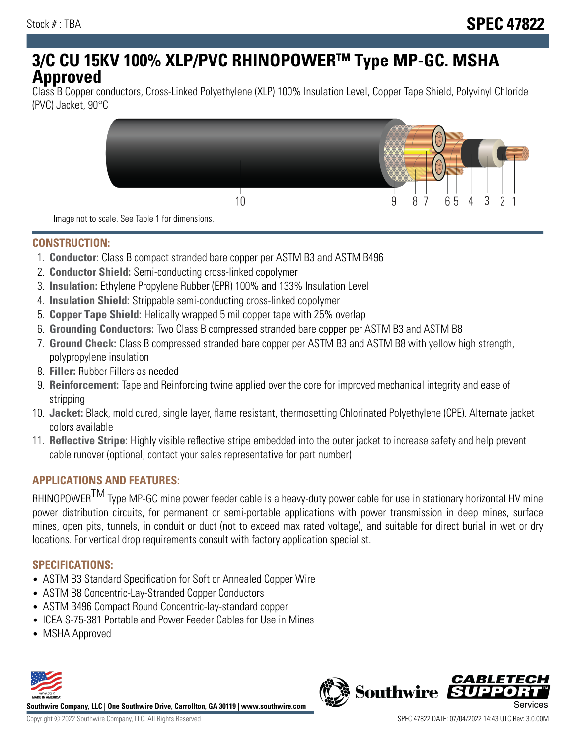# **3/C CU 15KV 100% XLP/PVC RHINOPOWERTM Type MP-GC. MSHA Approved**

Class B Copper conductors, Cross-Linked Polyethylene (XLP) 100% Insulation Level, Copper Tape Shield, Polyvinyl Chloride (PVC) Jacket, 90°C



Image not to scale. See Table 1 for dimensions.

#### **CONSTRUCTION:**

- 1. **Conductor:** Class B compact stranded bare copper per ASTM B3 and ASTM B496
- 2. **Conductor Shield:** Semi-conducting cross-linked copolymer
- 3. **Insulation:** Ethylene Propylene Rubber (EPR) 100% and 133% Insulation Level
- 4. **Insulation Shield:** Strippable semi-conducting cross-linked copolymer
- 5. **Copper Tape Shield:** Helically wrapped 5 mil copper tape with 25% overlap
- 6. **Grounding Conductors:** Two Class B compressed stranded bare copper per ASTM B3 and ASTM B8
- 7. **Ground Check:** Class B compressed stranded bare copper per ASTM B3 and ASTM B8 with yellow high strength, polypropylene insulation
- 8. **Filler:** Rubber Fillers as needed
- 9. **Reinforcement:** Tape and Reinforcing twine applied over the core for improved mechanical integrity and ease of stripping
- 10. **Jacket:** Black, mold cured, single layer, flame resistant, thermosetting Chlorinated Polyethylene (CPE). Alternate jacket colors available
- 11. **Reflective Stripe:** Highly visible reflective stripe embedded into the outer jacket to increase safety and help prevent cable runover (optional, contact your sales representative for part number)

#### **APPLICATIONS AND FEATURES:**

RHINOPOWER<sup>TM</sup> Type MP-GC mine power feeder cable is a heavy-duty power cable for use in stationary horizontal HV mine power distribution circuits, for permanent or semi-portable applications with power transmission in deep mines, surface mines, open pits, tunnels, in conduit or duct (not to exceed max rated voltage), and suitable for direct burial in wet or dry locations. For vertical drop requirements consult with factory application specialist.

#### **SPECIFICATIONS:**

- ASTM B3 Standard Specification for Soft or Annealed Copper Wire
- ASTM B8 Concentric-Lay-Stranded Copper Conductors
- ASTM B496 Compact Round Concentric-lay-standard copper
- ICEA S-75-381 Portable and Power Feeder Cables for Use in Mines
- MSHA Approved



**Southwire Company, LLC | One Southwire Drive, Carrollton, GA 30119 | www.southwire.com**

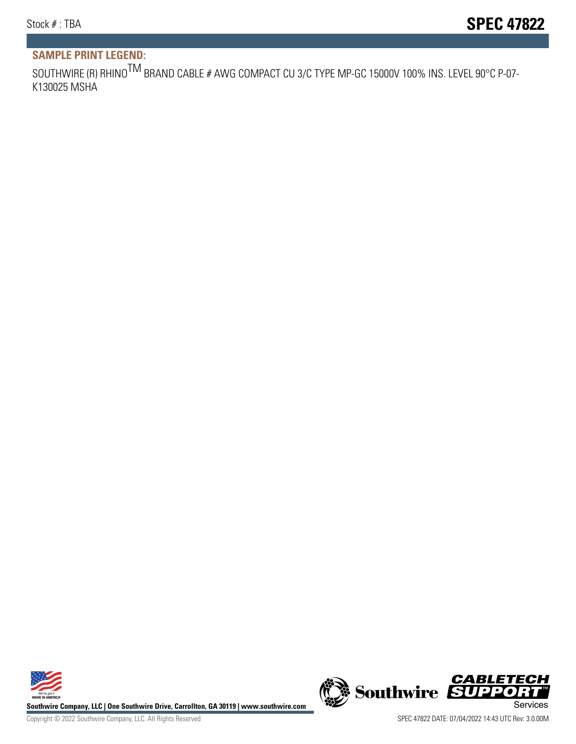## **SAMPLE PRINT LEGEND:**

SOUTHWIRE (R) RHINO<sup>TM</sup> BRAND CABLE # AWG COMPACT CU 3/C TYPE MP-GC 15000V 100% INS. LEVEL 90°C P-07-K130025 MSHA